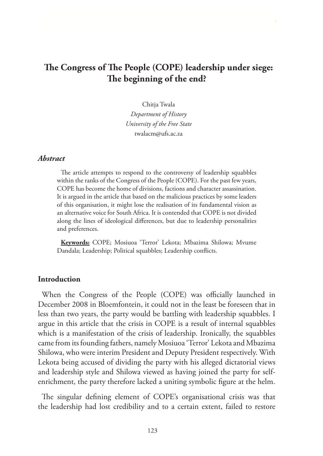# **The Congress of The People (COPE) leadership under siege: The beginning of the end?**

Chitja Twala

*Department of History University of the Free State* twalacm@ufs.ac.za

#### *Abstract*

The article attempts to respond to the controversy of leadership squabbles within the ranks of the Congress of the People (COPE). For the past few years, COPE has become the home of divisions, factions and character assassination. It is argued in the article that based on the malicious practices by some leaders of this organisation, it might lose the realisation of its fundamental vision as an alternative voice for South Africa. It is contended that COPE is not divided along the lines of ideological differences, but due to leadership personalities and preferences.

**Keywords:** COPE; Mosiuoa 'Terror' Lekota; Mbazima Shilowa; Mvume Dandala; Leadership; Political squabbles; Leadership conflicts.

### **Introduction**

When the Congress of the People (COPE) was officially launched in December 2008 in Bloemfontein, it could not in the least be foreseen that in less than two years, the party would be battling with leadership squabbles. I argue in this article that the crisis in COPE is a result of internal squabbles which is a manifestation of the crisis of leadership. Ironically, the squabbles came from its founding fathers, namely Mosiuoa 'Terror' Lekota and Mbazima Shilowa, who were interim President and Deputy President respectively. With Lekota being accused of dividing the party with his alleged dictatorial views and leadership style and Shilowa viewed as having joined the party for selfenrichment, the party therefore lacked a uniting symbolic figure at the helm.

The singular defining element of COPE's organisational crisis was that the leadership had lost credibility and to a certain extent, failed to restore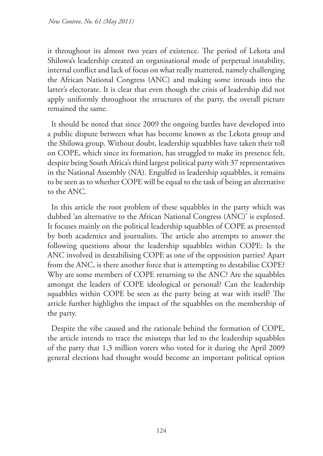it throughout its almost two years of existence. The period of Lekota and Shilowa's leadership created an organisational mode of perpetual instability, internal conflict and lack of focus on what really mattered, namely challenging the African National Congress (ANC) and making some inroads into the latter's electorate. It is clear that even though the crisis of leadership did not apply uniformly throughout the structures of the party, the overall picture remained the same.

It should be noted that since 2009 the ongoing battles have developed into a public dispute between what has become known as the Lekota group and the Shilowa group. Without doubt, leadership squabbles have taken their toll on COPE, which since its formation, has struggled to make its presence felt, despite being South Africa's third largest political party with 37 representatives in the National Assembly (NA). Engulfed in leadership squabbles, it remains to be seen as to whether COPE will be equal to the task of being an alternative to the ANC.

In this article the root problem of these squabbles in the party which was dubbed 'an alternative to the African National Congress (ANC)' is explored. It focuses mainly on the political leadership squabbles of COPE as presented by both academics and journalists. The article also attempts to answer the following questions about the leadership squabbles within COPE: Is the ANC involved in destabilising COPE as one of the opposition parties? Apart from the ANC, is there another force that is attempting to destabilise COPE? Why are some members of COPE returning to the ANC? Are the squabbles amongst the leaders of COPE ideological or personal? Can the leadership squabbles within COPE be seen as the party being at war with itself? The article further highlights the impact of the squabbles on the membership of the party.

Despite the vibe caused and the rationale behind the formation of COPE, the article intends to trace the missteps that led to the leadership squabbles of the party that 1,3 million voters who voted for it during the April 2009 general elections had thought would become an important political option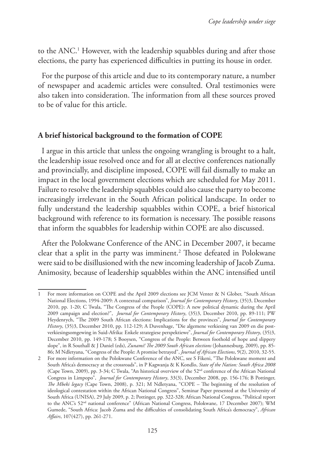to the ANC.1 However, with the leadership squabbles during and after those elections, the party has experienced difficulties in putting its house in order.

For the purpose of this article and due to its contemporary nature, a number of newspaper and academic articles were consulted. Oral testimonies were also taken into consideration. The information from all these sources proved to be of value for this article.

## **A brief historical background to the formation of COPE**

I argue in this article that unless the ongoing wrangling is brought to a halt, the leadership issue resolved once and for all at elective conferences nationally and provincially, and discipline imposed, COPE will fail dismally to make an impact in the local government elections which are scheduled for May 2011. Failure to resolve the leadership squabbles could also cause the party to become increasingly irrelevant in the South African political landscape. In order to fully understand the leadership squabbles within COPE, a brief historical background with reference to its formation is necessary. The possible reasons that inform the squabbles for leadership within COPE are also discussed.

After the Polokwane Conference of the ANC in December 2007, it became clear that a split in the party was imminent.2 Those defeated in Polokwane were said to be disillusioned with the new incoming leadership of Jacob Zuma. Animosity, because of leadership squabbles within the ANC intensified until

<sup>1</sup> For more information on COPE and the April 2009 elections see JCM Venter & N Glober, "South African National Elections, 1994-2009: A contextual comparison", *Journal for Contemporary History*, (35)3, December 2010, pp. 1-20; C Twala, "The Congress of the People (COPE): A new political dynamic during the April 2009 campaign and election?", *Journal for Contemporary History*, (35)3, December 2010, pp. 89-111; PW Heydenrych, "The 2009 South African elections: Implications for the provinces", *Journal for Contemporary History*, (35)3, December 2010, pp. 112-129; A Duvenhage, "Die algemene verkiesing van 2009 en die postverkiesingsomgewing in Suid-Afrika: Enkele strategiese perspektiewe", *Journal for Contemporary History*, (35)3, December 2010, pp. 149-178; S Booysen, "Congress of the People: Between foothold of hope and slippery slope", in R Southall & J Daniel (eds), *Zunami! The 2009 South African elections* (Johannesburg, 2009), pp. 85- 86; M Ndletyana, "Congress of the People: A promise betrayed", *Journal of African Elections*, 9(2), 2010, 32-55.

<sup>2</sup> For more information on the Polokwane Conference of the ANC, see S Fikeni, "The Polokwane moment and South Africa's democracy at the crossroads", in P Kagwanja & K Kondlo, *State of the Nation: South Africa 2008*  (Cape Town, 2009), pp. 3-34; C Twala, "An historical overview of the 52<sup>nd</sup> conference of the African National Congress in Limpopo", *Journal for Contemporary History*, 33(3), December 2008, pp. 156-176; B Pottinger, *The Mbeki legacy* (Cape Town, 2008), p. 321; M Ndletyana, "COPE – The beginning of the resolution of ideological contestation within the African National Congress", Seminar Paper presented at the University of South Africa (UNISA), 29 July 2009, p. 2; Pottinger, pp. 322-328; African National Congress, "Political report to the ANC's 52<sup>nd</sup> national conference" (African National Congress, Polokwane, 17 December 2007); WM Gumede, "South Africa: Jacob Zuma and the difficulties of consolidating South Africa's democracy", *African Affairs*, 107(427), pp. 261-271.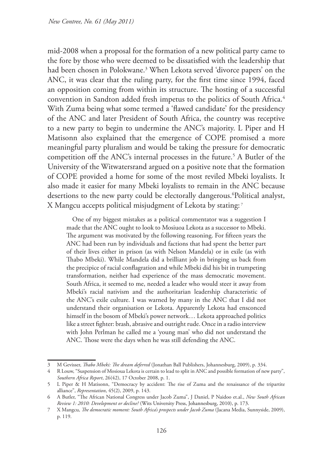mid-2008 when a proposal for the formation of a new political party came to the fore by those who were deemed to be dissatisfied with the leadership that had been chosen in Polokwane.3 When Lekota served 'divorce papers' on the ANC, it was clear that the ruling party, for the first time since 1994, faced an opposition coming from within its structure. The hosting of a successful convention in Sandton added fresh impetus to the politics of South Africa.4 With Zuma being what some termed a 'flawed candidate' for the presidency of the ANC and later President of South Africa, the country was receptive to a new party to begin to undermine the ANC's majority. L Piper and H Matisonn also explained that the emergence of COPE promised a more meaningful party pluralism and would be taking the pressure for democratic competition off the ANC's internal processes in the future.5 A Butler of the University of the Witwatersrand argued on a positive note that the formation of COPE provided a home for some of the most reviled Mbeki loyalists. It also made it easier for many Mbeki loyalists to remain in the ANC because desertions to the new party could be electorally dangerous.6 Political analyst, X Mangcu accepts political misjudgment of Lekota by stating: 7

 One of my biggest mistakes as a political commentator was a suggestion I made that the ANC ought to look to Mosiuoa Lekota as a successor to Mbeki. The argument was motivated by the following reasoning. For fifteen years the ANC had been run by individuals and factions that had spent the better part of their lives either in prison (as with Nelson Mandela) or in exile (as with Thabo Mbeki). While Mandela did a brilliant job in bringing us back from the precipice of racial conflagration and while Mbeki did his bit in trumpeting transformation, neither had experience of the mass democratic movement. South Africa, it seemed to me, needed a leader who would steer it away from Mbeki's racial nativism and the authoritarian leadership characteristic of the ANC's exile culture. I was warned by many in the ANC that I did not understand their organisation or Lekota. Apparently Lekota had ensconced himself in the bosom of Mbeki's power network… Lekota approached politics like a street fighter: brash, abrasive and outright rude. Once in a radio interview with John Perlman he called me a 'young man' who did not understand the ANC. Those were the days when he was still defending the ANC.

<sup>3</sup> M Gevisser, *Thabo Mbeki: The dream deferred* (Jonathan Ball Publishers, Johannesburg, 2009), p. 334.

<sup>4</sup> R Louw, "Suspension of Mosioua Lekota is certain to lead to split in ANC and possible formation of new party", *Southern Africa Report*, 26(42), 17 October 2008, p. 1.

<sup>5</sup> L Piper & H Matisonn, "Democracy by accident: The rise of Zuma and the renaissance of the tripartite alliance", *Representation*, 45(2), 2009, p. 143.

<sup>6</sup> A Butler, "The African National Congress under Jacob Zuma", J Daniel, P Naidoo et.al., *New South African Review 1: 2010: Development or decline?* (Wits University Press, Johannesburg, 2010), p. 173.

<sup>7</sup> X Mangcu, *The democratic moment: South Africa's prospects under Jacob Zuma* (Jacana Media, Sunnyside, 2009), p. 119.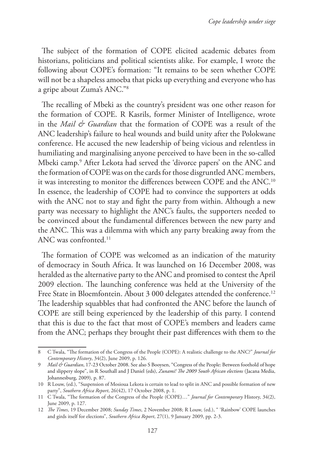The subject of the formation of COPE elicited academic debates from historians, politicians and political scientists alike. For example, I wrote the following about COPE's formation: "It remains to be seen whether COPE will not be a shapeless amoeba that picks up everything and everyone who has a gripe about Zuma's ANC."8

The recalling of Mbeki as the country's president was one other reason for the formation of COPE. R Kasrils, former Minister of Intelligence, wrote in the *Mail & Guardian* that the formation of COPE was a result of the ANC leadership's failure to heal wounds and build unity after the Polokwane conference. He accused the new leadership of being vicious and relentless in humiliating and marginalising anyone perceived to have been in the so-called Mbeki camp.9 After Lekota had served the 'divorce papers' on the ANC and the formation of COPE was on the cards for those disgruntled ANC members, it was interesting to monitor the differences between COPE and the ANC.10 In essence, the leadership of COPE had to convince the supporters at odds with the ANC not to stay and fight the party from within. Although a new party was necessary to highlight the ANC's faults, the supporters needed to be convinced about the fundamental differences between the new party and the ANC. This was a dilemma with which any party breaking away from the ANC was confronted.11

The formation of COPE was welcomed as an indication of the maturity of democracy in South Africa. It was launched on 16 December 2008, was heralded as the alternative party to the ANC and promised to contest the April 2009 election. The launching conference was held at the University of the Free State in Bloemfontein. About 3 000 delegates attended the conference.<sup>12</sup> The leadership squabbles that had confronted the ANC before the launch of COPE are still being experienced by the leadership of this party. I contend that this is due to the fact that most of COPE's members and leaders came from the ANC; perhaps they brought their past differences with them to the

<sup>8</sup> C Twala, "The formation of the Congress of the People (COPE): A realistic challenge to the ANC?" *Journal for Contemporary History*, 34(2), June 2009, p. 126.

<sup>9</sup> *Mail & Guardian*, 17-23 October 2008. See also S Booysen, "Congress of the People: Between foothold of hope and slippery slope", in R Southall and J Daniel (eds), *Zunami! The 2009 South African elections* (Jacana Media, Johannesburg, 2009), p. 87.

<sup>10</sup> R Louw, (ed.), "Suspension of Mosioua Lekota is certain to lead to split in ANC and possible formation of new party", *Southern Africa Report*, 26(42), 17 October 2008, p. 1.

<sup>11</sup> C Twala, "The formation of the Congress of the People (COPE)…" *Journal for Contemporary* History, 34(2), June 2009, p. 127.

<sup>12</sup> *The Times*, 19 December 2008; *Sunday Times*, 2 November 2008; R Louw, (ed.), " 'Rainbow' COPE launches and girds itself for elections", *Southern Africa Report*, 27(1), 9 January 2009, pp. 2-3.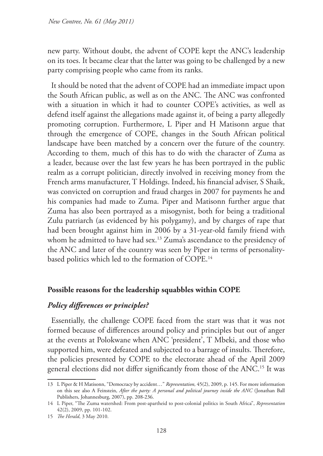new party. Without doubt, the advent of COPE kept the ANC's leadership on its toes. It became clear that the latter was going to be challenged by a new party comprising people who came from its ranks.

It should be noted that the advent of COPE had an immediate impact upon the South African public, as well as on the ANC. The ANC was confronted with a situation in which it had to counter COPE's activities, as well as defend itself against the allegations made against it, of being a party allegedly promoting corruption. Furthermore, L Piper and H Matisonn argue that through the emergence of COPE, changes in the South African political landscape have been matched by a concern over the future of the country. According to them, much of this has to do with the character of Zuma as a leader, because over the last few years he has been portrayed in the public realm as a corrupt politician, directly involved in receiving money from the French arms manufacturer, T Holdings. Indeed, his financial adviser, S Shaik, was convicted on corruption and fraud charges in 2007 for payments he and his companies had made to Zuma. Piper and Matisonn further argue that Zuma has also been portrayed as a misogynist, both for being a traditional Zulu patriarch (as evidenced by his polygamy), and by charges of rape that had been brought against him in 2006 by a 31-year-old family friend with whom he admitted to have had sex.<sup>13</sup> Zuma's ascendance to the presidency of the ANC and later of the country was seen by Piper in terms of personalitybased politics which led to the formation of COPE.14

### **Possible reasons for the leadership squabbles within COPE**

### *Policy differences or principles?*

Essentially, the challenge COPE faced from the start was that it was not formed because of differences around policy and principles but out of anger at the events at Polokwane when ANC 'president', T Mbeki, and those who supported him, were defeated and subjected to a barrage of insults. Therefore, the policies presented by COPE to the electorate ahead of the April 2009 general elections did not differ significantly from those of the ANC.15 It was

<sup>13</sup> L Piper & H Matisonn, "Democracy by accident…" *Representation,* 45(2), 2009, p. 145. For more information on this see also A Feinstein, *After the party: A personal and political journey inside the ANC* (Jonathan Ball Publishers, Johannesburg, 2007), pp. 208-236.

<sup>14</sup> L Piper, "The Zuma watershed: From post-apartheid to post-colonial politics in South Africa", *Representation*  42(2), 2009, pp. 101-102.

<sup>15</sup> *The Herald*, 3 May 2010.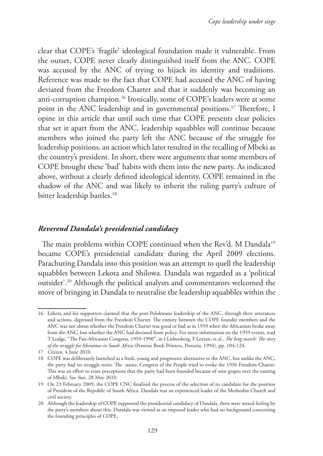clear that COPE's 'fragile' ideological foundation made it vulnerable. From the outset, COPE never clearly distinguished itself from the ANC. COPE was accused by the ANC of trying to hijack its identity and traditions. Reference was made to the fact that COPE had accused the ANC of having deviated from the Freedom Charter and that it suddenly was becoming an anti-corruption champion.16 Ironically, some of COPE's leaders were at some point in the ANC leadership and in governmental positions.17 Therefore, I opine in this article that until such time that COPE presents clear policies that set it apart from the ANC, leadership squabbles will continue because members who joined the party left the ANC because of the struggle for leadership positions, an action which later resulted in the recalling of Mbeki as the country's president. In short, there were arguments that some members of COPE brought these 'bad' habits with them into the new party. As indicated above, without a clearly defined ideological identity, COPE remained in the shadow of the ANC and was likely to inherit the ruling party's culture of bitter leadership battles.<sup>18</sup>

## *Reverend Dandala's presidential candidacy*

The main problems within COPE continued when the Rev'd. M Dandala<sup>19</sup> became COPE's presidential candidate during the April 2009 elections. Parachuting Dandala into this position was an attempt to quell the leadership squabbles between Lekota and Shilowa. Dandala was regarded as a 'political outsider'.20 Although the political analysts and commentators welcomed the move of bringing in Dandala to neutralise the leadership squabbles within the

<sup>16</sup> Lekota and his supporters claimed that the post-Polokwane leadership of the ANC, through their utterances and actions, digressed from the Freedom Charter. The enmity between the COPE founder members and the ANC was not about whether the Freedom Charter was good or bad as in 1959 when the Africanists broke away from the ANC, but whether the ANC had deviated from policy. For more information on the 1959 events, read T Lodge, "The Pan-Africanist Congress, 1959-1990", in I Liebenberg, F Lortan, et.al., *The long march: The story of the struggle for liberation in South Africa* (Penrose Book Printers, Pretoria, 1994), pp. 104-124.

<sup>17</sup> *Citizen*, 4 June 2010.

<sup>18</sup> COPE was deliberately launched as a fresh, young and progressive alternative to the ANC, but unlike the ANC, the party had no struggle roots. The name, Congress of the People tried to evoke the 1956 Freedom Charter. This was an effort to erase perceptions that the party had been founded because of sour grapes over the ousting of Mbeki. See *Star*, 28 May 2010.

<sup>19</sup> On 23 February 2009, the COPE CNC finalised the process of the selection of its candidate for the position of President of the Republic of South Africa. Dandala was an experienced leader of the Methodist Church and civil society.

<sup>20</sup> Although the leadership of COPE supported the presidential candidacy of Dandala, there were mixed feeling by the party's members about this. Dandala was viewed as an imposed leader who had no background concerning the founding principles of COPE.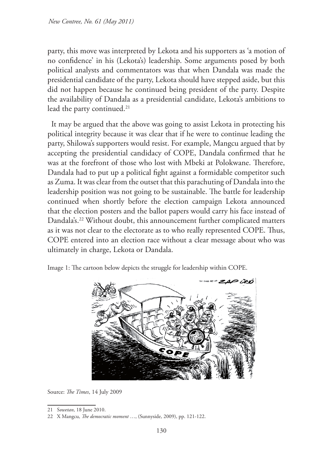party, this move was interpreted by Lekota and his supporters as 'a motion of no confidence' in his (Lekota's) leadership. Some arguments posed by both political analysts and commentators was that when Dandala was made the presidential candidate of the party, Lekota should have stepped aside, but this did not happen because he continued being president of the party. Despite the availability of Dandala as a presidential candidate, Lekota's ambitions to lead the party continued.<sup>21</sup>

It may be argued that the above was going to assist Lekota in protecting his political integrity because it was clear that if he were to continue leading the party, Shilowa's supporters would resist. For example, Mangcu argued that by accepting the presidential candidacy of COPE, Dandala confirmed that he was at the forefront of those who lost with Mbeki at Polokwane. Therefore, Dandala had to put up a political fight against a formidable competitor such as Zuma. It was clear from the outset that this parachuting of Dandala into the leadership position was not going to be sustainable. The battle for leadership continued when shortly before the election campaign Lekota announced that the election posters and the ballot papers would carry his face instead of Dandala's.<sup>22</sup> Without doubt, this announcement further complicated matters as it was not clear to the electorate as to who really represented COPE. Thus, COPE entered into an election race without a clear message about who was ultimately in charge, Lekota or Dandala.

Image 1: The cartoon below depicts the struggle for leadership within COPE.



Source: *The Times*, 14 July 2009

<sup>21</sup> S*owetan*, 18 June 2010.

<sup>22</sup> X Mangcu, *The democratic moment* …, (Sunnyside, 2009), pp. 121-122.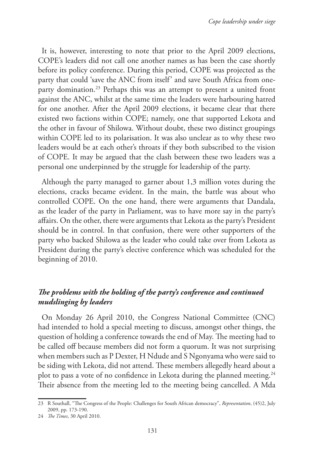It is, however, interesting to note that prior to the April 2009 elections, COPE's leaders did not call one another names as has been the case shortly before its policy conference. During this period, COPE was projected as the party that could 'save the ANC from itself' and save South Africa from oneparty domination.<sup>23</sup> Perhaps this was an attempt to present a united front against the ANC, whilst at the same time the leaders were harbouring hatred for one another. After the April 2009 elections, it became clear that there existed two factions within COPE; namely, one that supported Lekota and the other in favour of Shilowa. Without doubt, these two distinct groupings within COPE led to its polarisation. It was also unclear as to why these two leaders would be at each other's throats if they both subscribed to the vision of COPE. It may be argued that the clash between these two leaders was a personal one underpinned by the struggle for leadership of the party.

Although the party managed to garner about 1,3 million votes during the elections, cracks became evident. In the main, the battle was about who controlled COPE. On the one hand, there were arguments that Dandala, as the leader of the party in Parliament, was to have more say in the party's affairs. On the other, there were arguments that Lekota as the party's President should be in control. In that confusion, there were other supporters of the party who backed Shilowa as the leader who could take over from Lekota as President during the party's elective conference which was scheduled for the beginning of 2010.

# *The problems with the holding of the party's conference and continued mudslinging by leaders*

On Monday 26 April 2010, the Congress National Committee (CNC) had intended to hold a special meeting to discuss, amongst other things, the question of holding a conference towards the end of May. The meeting had to be called off because members did not form a quorum. It was not surprising when members such as P Dexter, H Ndude and S Ngonyama who were said to be siding with Lekota, did not attend. These members allegedly heard about a plot to pass a vote of no confidence in Lekota during the planned meeting.<sup>24</sup> Their absence from the meeting led to the meeting being cancelled. A Mda

<sup>23</sup> R Southall, "The Congress of the People: Challenges for South African democracy", *Representation*, (45)2, July 2009, pp. 173-190.

<sup>24</sup> *The Times*, 30 April 2010.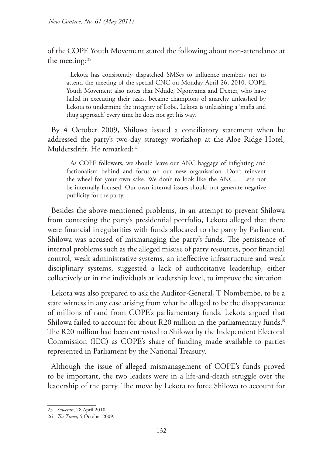of the COPE Youth Movement stated the following about non-attendance at the meeting: 25

Lekota has consistently dispatched SMSes to influence members not to attend the meeting of the special CNC on Monday April 26, 2010. COPE Youth Movement also notes that Ndude, Ngonyama and Dexter, who have failed in executing their tasks, became champions of anarchy unleashed by Lekota to undermine the integrity of Lobe. Lekota is unleashing a 'mafia and thug approach' every time he does not get his way.

By 4 October 2009, Shilowa issued a conciliatory statement when he addressed the party's two-day strategy workshop at the Aloe Ridge Hotel, Muldersdrift. He remarked: 26

As COPE followers, we should leave our ANC baggage of infighting and factionalism behind and focus on our new organisation. Don't reinvent the wheel for your own sake. We don't to look like the ANC… Let's not be internally focused. Our own internal issues should not generate negative publicity for the party.

Besides the above-mentioned problems, in an attempt to prevent Shilowa from contesting the party's presidential portfolio, Lekota alleged that there were financial irregularities with funds allocated to the party by Parliament. Shilowa was accused of mismanaging the party's funds. The persistence of internal problems such as the alleged misuse of party resources, poor financial control, weak administrative systems, an ineffective infrastructure and weak disciplinary systems, suggested a lack of authoritative leadership, either collectively or in the individuals at leadership level, to improve the situation.

Lekota was also prepared to ask the Auditor-General, T Nombembe, to be a state witness in any case arising from what he alleged to be the disappearance of millions of rand from COPE's parliamentary funds. Lekota argued that Shilowa failed to account for about R20 million in the parliamentary funds. The R20 million had been entrusted to Shilowa by the Independent Electoral Commission (IEC) as COPE's share of funding made available to parties represented in Parliament by the National Treasury.

Although the issue of alleged mismanagement of COPE's funds proved to be important, the two leaders were in a life-and-death struggle over the leadership of the party. The move by Lekota to force Shilowa to account for

<sup>25</sup> *Sowetan*, 28 April 2010.

<sup>26</sup> *The Times*, 5 October 2009.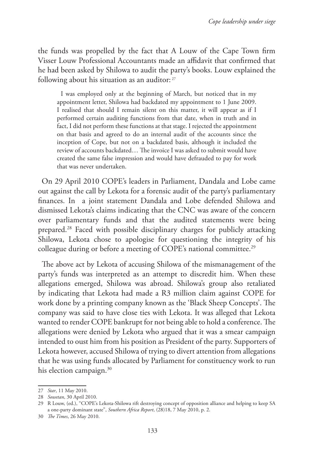the funds was propelled by the fact that A Louw of the Cape Town firm Visser Louw Professional Accountants made an affidavit that confirmed that he had been asked by Shilowa to audit the party's books. Louw explained the following about his situation as an auditor: 27

I was employed only at the beginning of March, but noticed that in my appointment letter, Shilowa had backdated my appointment to 1 June 2009. I realised that should I remain silent on this matter, it will appear as if I performed certain auditing functions from that date, when in truth and in fact, I did not perform these functions at that stage. I rejected the appointment on that basis and agreed to do an internal audit of the accounts since the inception of Cope, but not on a backdated basis, although it included the review of accounts backdated… The invoice I was asked to submit would have created the same false impression and would have defrauded to pay for work that was never undertaken.

On 29 April 2010 COPE's leaders in Parliament, Dandala and Lobe came out against the call by Lekota for a forensic audit of the party's parliamentary finances. In a joint statement Dandala and Lobe defended Shilowa and dismissed Lekota's claims indicating that the CNC was aware of the concern over parliamentary funds and that the audited statements were being prepared.28 Faced with possible disciplinary charges for publicly attacking Shilowa, Lekota chose to apologise for questioning the integrity of his colleague during or before a meeting of COPE's national committee.<sup>29</sup>

The above act by Lekota of accusing Shilowa of the mismanagement of the party's funds was interpreted as an attempt to discredit him. When these allegations emerged, Shilowa was abroad. Shilowa's group also retaliated by indicating that Lekota had made a R3 million claim against COPE for work done by a printing company known as the 'Black Sheep Concepts'. The company was said to have close ties with Lekota. It was alleged that Lekota wanted to render COPE bankrupt for not being able to hold a conference. The allegations were denied by Lekota who argued that it was a smear campaign intended to oust him from his position as President of the party. Supporters of Lekota however, accused Shilowa of trying to divert attention from allegations that he was using funds allocated by Parliament for constituency work to run his election campaign.<sup>30</sup>

<sup>27</sup> *Star*, 11 May 2010.

<sup>28</sup> *Sowetan*, 30 April 2010.

<sup>29</sup> R Louw, (ed.), "COPE's Lekota-Shilowa rift destroying concept of opposition alliance and helping to keep SA a one-party dominant state", *Southern Africa Report*, (28)18, 7 May 2010, p. 2.

<sup>30</sup> *The Times*, 26 May 2010.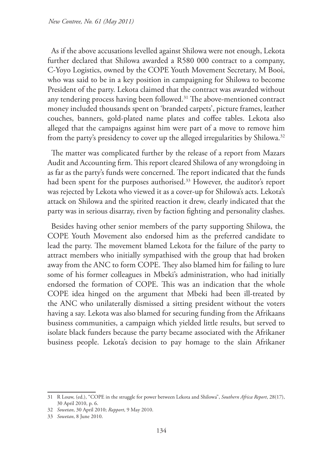As if the above accusations levelled against Shilowa were not enough, Lekota further declared that Shilowa awarded a R580 000 contract to a company, C-Yoyo Logistics, owned by the COPE Youth Movement Secretary, M Booi, who was said to be in a key position in campaigning for Shilowa to become President of the party. Lekota claimed that the contract was awarded without any tendering process having been followed.<sup>31</sup> The above-mentioned contract money included thousands spent on 'branded carpets', picture frames, leather couches, banners, gold-plated name plates and coffee tables. Lekota also alleged that the campaigns against him were part of a move to remove him from the party's presidency to cover up the alleged irregularities by Shilowa.<sup>32</sup>

The matter was complicated further by the release of a report from Mazars Audit and Accounting firm. This report cleared Shilowa of any wrongdoing in as far as the party's funds were concerned. The report indicated that the funds had been spent for the purposes authorised.<sup>33</sup> However, the auditor's report was rejected by Lekota who viewed it as a cover-up for Shilowa's acts. Lekota's attack on Shilowa and the spirited reaction it drew, clearly indicated that the party was in serious disarray, riven by faction fighting and personality clashes.

Besides having other senior members of the party supporting Shilowa, the COPE Youth Movement also endorsed him as the preferred candidate to lead the party. The movement blamed Lekota for the failure of the party to attract members who initially sympathised with the group that had broken away from the ANC to form COPE. They also blamed him for failing to lure some of his former colleagues in Mbeki's administration, who had initially endorsed the formation of COPE. This was an indication that the whole COPE idea hinged on the argument that Mbeki had been ill-treated by the ANC who unilaterally dismissed a sitting president without the voters having a say. Lekota was also blamed for securing funding from the Afrikaans business communities, a campaign which yielded little results, but served to isolate black funders because the party became associated with the Afrikaner business people. Lekota's decision to pay homage to the slain Afrikaner

<sup>31</sup> R Louw, (ed.), "COPE in the struggle for power between Lekota and Shilowa", *Southern Africa Report*, 28(17), 30 April 2010, p. 6.

<sup>32</sup> *Sowetan*, 30 April 2010; *Rapport*, 9 May 2010.

<sup>33</sup> *Sowetan*, 8 June 2010.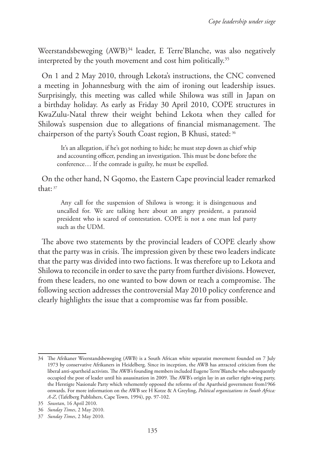Weerstandsbeweging (AWB)<sup>34</sup> leader, E Terre'Blanche, was also negatively interpreted by the youth movement and cost him politically.<sup>35</sup>

On 1 and 2 May 2010, through Lekota's instructions, the CNC convened a meeting in Johannesburg with the aim of ironing out leadership issues. Surprisingly, this meeting was called while Shilowa was still in Japan on a birthday holiday. As early as Friday 30 April 2010, COPE structures in KwaZulu-Natal threw their weight behind Lekota when they called for Shilowa's suspension due to allegations of financial mismanagement. The chairperson of the party's South Coast region, B Khusi, stated: 36

It's an allegation, if he's got nothing to hide; he must step down as chief whip and accounting officer, pending an investigation. This must be done before the conference… If the comrade is guilty, he must be expelled.

On the other hand, N Gqomo, the Eastern Cape provincial leader remarked  $that·37$ 

Any call for the suspension of Shilowa is wrong; it is disingenuous and uncalled for. We are talking here about an angry president, a paranoid president who is scared of contestation. COPE is not a one man led party such as the UDM.

The above two statements by the provincial leaders of COPE clearly show that the party was in crisis. The impression given by these two leaders indicate that the party was divided into two factions. It was therefore up to Lekota and Shilowa to reconcile in order to save the party from further divisions. However, from these leaders, no one wanted to bow down or reach a compromise. The following section addresses the controversial May 2010 policy conference and clearly highlights the issue that a compromise was far from possible.

<sup>34</sup> The Afrikaner Weerstandsbeweging (AWB) is a South African white separatist movement founded on 7 July 1973 by conservative Afrikaners in Heidelberg. Since its inception, the AWB has attracted criticism from the liberal anti-apartheid activists. The AWB's founding members included Eugene Terre'Blanche who subsequently occupied the post of leader until his assassination in 2009. The AWB's origin lay in an earlier right-wing party, the Herstigte Nasionale Party which vehemently opposed the reforms of the Apartheid government from1966 onwards. For more information on the AWB see H Kotze & A Greyling, *Political organizations in South Africa: A-Z*, (Tafelberg Publishers, Cape Town, 1994), pp. 97-102.

<sup>35</sup> *Sowetan*, 16 April 2010.

<sup>36</sup> *Sunday Times*, 2 May 2010.

<sup>37</sup> *Sunday Times*, 2 May 2010.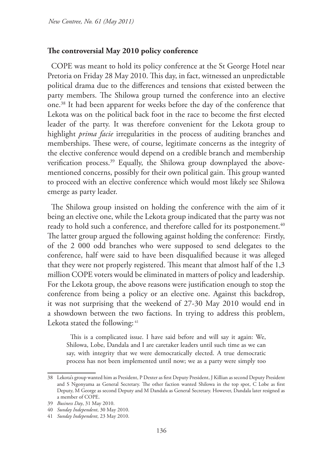### **The controversial May 2010 policy conference**

COPE was meant to hold its policy conference at the St George Hotel near Pretoria on Friday 28 May 2010. This day, in fact, witnessed an unpredictable political drama due to the differences and tensions that existed between the party members. The Shilowa group turned the conference into an elective one.38 It had been apparent for weeks before the day of the conference that Lekota was on the political back foot in the race to become the first elected leader of the party. It was therefore convenient for the Lekota group to highlight *prima facie* irregularities in the process of auditing branches and memberships. These were, of course, legitimate concerns as the integrity of the elective conference would depend on a credible branch and membership verification process.<sup>39</sup> Equally, the Shilowa group downplayed the abovementioned concerns, possibly for their own political gain. This group wanted to proceed with an elective conference which would most likely see Shilowa emerge as party leader.

The Shilowa group insisted on holding the conference with the aim of it being an elective one, while the Lekota group indicated that the party was not ready to hold such a conference, and therefore called for its postponement.<sup>40</sup> The latter group argued the following against holding the conference: Firstly, of the 2 000 odd branches who were supposed to send delegates to the conference, half were said to have been disqualified because it was alleged that they were not properly registered. This meant that almost half of the 1,3 million COPE voters would be eliminated in matters of policy and leadership. For the Lekota group, the above reasons were justification enough to stop the conference from being a policy or an elective one. Against this backdrop, it was not surprising that the weekend of 27-30 May 2010 would end in a showdown between the two factions. In trying to address this problem, Lekota stated the following: <sup>41</sup>

This is a complicated issue. I have said before and will say it again: We, Shilowa, Lobe, Dandala and I are caretaker leaders until such time as we can say, with integrity that we were democratically elected. A true democratic process has not been implemented until now; we as a party were simply too

<sup>38</sup> Lekota's group wanted him as President, P Dexter as first Deputy President, J Killian as second Deputy President and S Ngonyama as General Secretary. The other faction wanted Shilowa in the top spot, C Lobe as first Deputy, M George as second Deputy and M Dandala as General Secretary. However, Dandala later resigned as a member of COPE.

<sup>39</sup> *Business Day*, 31 May 2010.

<sup>40</sup> *Sunday Independent*, 30 May 2010.

<sup>41</sup> *Sunday Independent*, 23 May 2010.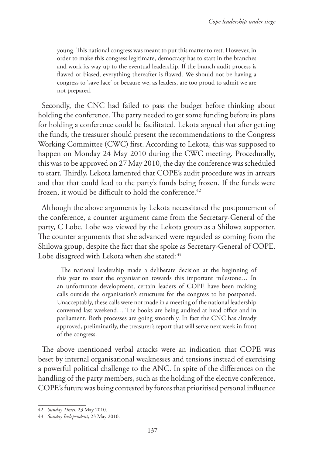young. This national congress was meant to put this matter to rest. However, in order to make this congress legitimate, democracy has to start in the branches and work its way up to the eventual leadership. If the branch audit process is flawed or biased, everything thereafter is flawed. We should not be having a congress to 'save face' or because we, as leaders, are too proud to admit we are not prepared.

Secondly, the CNC had failed to pass the budget before thinking about holding the conference. The party needed to get some funding before its plans for holding a conference could be facilitated. Lekota argued that after getting the funds, the treasurer should present the recommendations to the Congress Working Committee (CWC) first. According to Lekota, this was supposed to happen on Monday 24 May 2010 during the CWC meeting. Procedurally, this was to be approved on 27 May 2010, the day the conference was scheduled to start. Thirdly, Lekota lamented that COPE's audit procedure was in arrears and that that could lead to the party's funds being frozen. If the funds were frozen, it would be difficult to hold the conference.<sup>42</sup>

Although the above arguments by Lekota necessitated the postponement of the conference, a counter argument came from the Secretary-General of the party, C Lobe. Lobe was viewed by the Lekota group as a Shilowa supporter. The counter arguments that she advanced were regarded as coming from the Shilowa group, despite the fact that she spoke as Secretary-General of COPE. Lobe disagreed with Lekota when she stated: 43

The national leadership made a deliberate decision at the beginning of this year to steer the organisation towards this important milestone… In an unfortunate development, certain leaders of COPE have been making calls outside the organisation's structures for the congress to be postponed. Unacceptably, these calls were not made in a meeting of the national leadership convened last weekend… The books are being audited at head office and in parliament. Both processes are going smoothly. In fact the CNC has already approved, preliminarily, the treasurer's report that will serve next week in front of the congress.

The above mentioned verbal attacks were an indication that COPE was beset by internal organisational weaknesses and tensions instead of exercising a powerful political challenge to the ANC. In spite of the differences on the handling of the party members, such as the holding of the elective conference, COPE's future was being contested by forces that prioritised personal influence

<sup>42</sup> *Sunday Times*, 23 May 2010.

<sup>43</sup> *Sunday Independent*, 23 May 2010.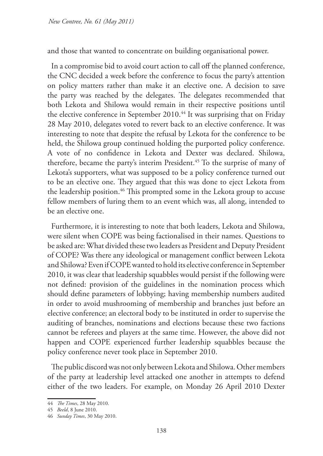and those that wanted to concentrate on building organisational power.

In a compromise bid to avoid court action to call off the planned conference, the CNC decided a week before the conference to focus the party's attention on policy matters rather than make it an elective one. A decision to save the party was reached by the delegates. The delegates recommended that both Lekota and Shilowa would remain in their respective positions until the elective conference in September 2010.<sup>44</sup> It was surprising that on Friday 28 May 2010, delegates voted to revert back to an elective conference. It was interesting to note that despite the refusal by Lekota for the conference to be held, the Shilowa group continued holding the purported policy conference. A vote of no confidence in Lekota and Dexter was declared. Shilowa, therefore, became the party's interim President.<sup>45</sup> To the surprise of many of Lekota's supporters, what was supposed to be a policy conference turned out to be an elective one. They argued that this was done to eject Lekota from the leadership position.<sup>46</sup> This prompted some in the Lekota group to accuse fellow members of luring them to an event which was, all along, intended to be an elective one.

Furthermore, it is interesting to note that both leaders, Lekota and Shilowa, were silent when COPE was being factionalised in their names. Questions to be asked are: What divided these two leaders as President and Deputy President of COPE? Was there any ideological or management conflict between Lekota and Shilowa? Even if COPE wanted to hold its elective conference in September 2010, it was clear that leadership squabbles would persist if the following were not defined: provision of the guidelines in the nomination process which should define parameters of lobbying; having membership numbers audited in order to avoid mushrooming of membership and branches just before an elective conference; an electoral body to be instituted in order to supervise the auditing of branches, nominations and elections because these two factions cannot be referees and players at the same time. However, the above did not happen and COPE experienced further leadership squabbles because the policy conference never took place in September 2010.

The public discord was not only between Lekota and Shilowa. Other members of the party at leadership level attacked one another in attempts to defend either of the two leaders. For example, on Monday 26 April 2010 Dexter

<sup>44</sup> *The Times*, 28 May 2010.

<sup>45</sup> *Beeld*, 8 June 2010.

<sup>46</sup> *Sunday Times*, 30 May 2010.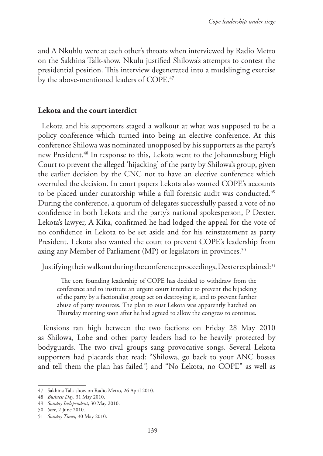and A Nkuhlu were at each other's throats when interviewed by Radio Metro on the Sakhina Talk-show. Nkulu justified Shilowa's attempts to contest the presidential position. This interview degenerated into a mudslinging exercise by the above-mentioned leaders of COPE.<sup>47</sup>

## **Lekota and the court interdict**

Lekota and his supporters staged a walkout at what was supposed to be a policy conference which turned into being an elective conference. At this conference Shilowa was nominated unopposed by his supporters as the party's new President.<sup>48</sup> In response to this, Lekota went to the Johannesburg High Court to prevent the alleged 'hijacking' of the party by Shilowa's group, given the earlier decision by the CNC not to have an elective conference which overruled the decision. In court papers Lekota also wanted COPE's accounts to be placed under curatorship while a full forensic audit was conducted.<sup>49</sup> During the conference, a quorum of delegates successfully passed a vote of no confidence in both Lekota and the party's national spokesperson, P Dexter. Lekota's lawyer, A Kika, confirmed he had lodged the appeal for the vote of no confidence in Lekota to be set aside and for his reinstatement as party President. Lekota also wanted the court to prevent COPE's leadership from axing any Member of Parliament (MP) or legislators in provinces.<sup>50</sup>

Justifying their walkout during the conference proceedings, Dexter explained: 51

The core founding leadership of COPE has decided to withdraw from the conference and to institute an urgent court interdict to prevent the hijacking of the party by a factionalist group set on destroying it, and to prevent further abuse of party resources. The plan to oust Lekota was apparently hatched on Thursday morning soon after he had agreed to allow the congress to continue.

Tensions ran high between the two factions on Friday 28 May 2010 as Shilowa, Lobe and other party leaders had to be heavily protected by bodyguards. The two rival groups sang provocative songs. Several Lekota supporters had placards that read: "Shilowa, go back to your ANC bosses and tell them the plan has failed*"*; and "No Lekota, no COPE" as well as

<sup>47</sup> Sakhina Talk-show on Radio Metro, 26 April 2010.

<sup>48</sup> *Business Day*, 31 May 2010.

<sup>49</sup> *Sunday Independent*, 30 May 2010.

<sup>50</sup> *Star*, 2 June 2010.

<sup>51</sup> *Sunday Times*, 30 May 2010.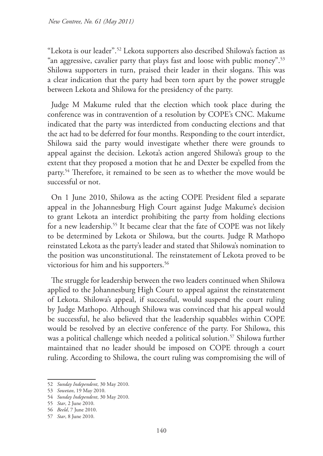"Lekota is our leader".52 Lekota supporters also described Shilowa's faction as "an aggressive, cavalier party that plays fast and loose with public money".53 Shilowa supporters in turn, praised their leader in their slogans. This was a clear indication that the party had been torn apart by the power struggle between Lekota and Shilowa for the presidency of the party.

Judge M Makume ruled that the election which took place during the conference was in contravention of a resolution by COPE's CNC. Makume indicated that the party was interdicted from conducting elections and that the act had to be deferred for four months. Responding to the court interdict, Shilowa said the party would investigate whether there were grounds to appeal against the decision. Lekota's action angered Shilowa's group to the extent that they proposed a motion that he and Dexter be expelled from the party.54 Therefore, it remained to be seen as to whether the move would be successful or not.

On 1 June 2010, Shilowa as the acting COPE President filed a separate appeal in the Johannesburg High Court against Judge Makume's decision to grant Lekota an interdict prohibiting the party from holding elections for a new leadership.<sup>55</sup> It became clear that the fate of COPE was not likely to be determined by Lekota or Shilowa, but the courts. Judge R Mathopo reinstated Lekota as the party's leader and stated that Shilowa's nomination to the position was unconstitutional. The reinstatement of Lekota proved to be victorious for him and his supporters.<sup>56</sup>

The struggle for leadership between the two leaders continued when Shilowa applied to the Johannesburg High Court to appeal against the reinstatement of Lekota. Shilowa's appeal, if successful, would suspend the court ruling by Judge Mathopo. Although Shilowa was convinced that his appeal would be successful, he also believed that the leadership squabbles within COPE would be resolved by an elective conference of the party. For Shilowa, this was a political challenge which needed a political solution.<sup>57</sup> Shilowa further maintained that no leader should be imposed on COPE through a court ruling. According to Shilowa, the court ruling was compromising the will of

<sup>52</sup> *Sunday Independent*, 30 May 2010.

<sup>53</sup> *Sowetan*, 19 May 2010.

<sup>54</sup> *Sunday Independent*, 30 May 2010.

<sup>55</sup> *Star*, 2 June 2010.

<sup>56</sup> *Beeld*, 7 June 2010.

<sup>57</sup> *Star*, 8 June 2010.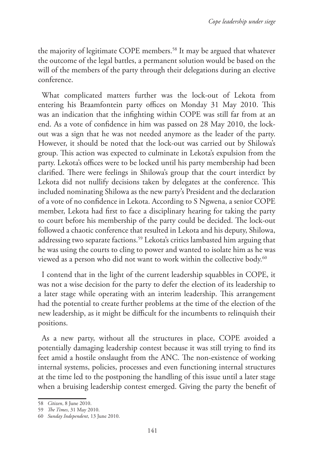the majority of legitimate COPE members.58 It may be argued that whatever the outcome of the legal battles, a permanent solution would be based on the will of the members of the party through their delegations during an elective conference.

What complicated matters further was the lock-out of Lekota from entering his Braamfontein party offices on Monday 31 May 2010. This was an indication that the infighting within COPE was still far from at an end. As a vote of confidence in him was passed on 28 May 2010, the lockout was a sign that he was not needed anymore as the leader of the party. However, it should be noted that the lock-out was carried out by Shilowa's group. This action was expected to culminate in Lekota's expulsion from the party. Lekota's offices were to be locked until his party membership had been clarified. There were feelings in Shilowa's group that the court interdict by Lekota did not nullify decisions taken by delegates at the conference. This included nominating Shilowa as the new party's President and the declaration of a vote of no confidence in Lekota. According to S Ngwena, a senior COPE member, Lekota had first to face a disciplinary hearing for taking the party to court before his membership of the party could be decided. The lock-out followed a chaotic conference that resulted in Lekota and his deputy, Shilowa, addressing two separate factions.<sup>59</sup> Lekota's critics lambasted him arguing that he was using the courts to cling to power and wanted to isolate him as he was viewed as a person who did not want to work within the collective body.<sup>60</sup>

I contend that in the light of the current leadership squabbles in COPE, it was not a wise decision for the party to defer the election of its leadership to a later stage while operating with an interim leadership. This arrangement had the potential to create further problems at the time of the election of the new leadership, as it might be difficult for the incumbents to relinquish their positions.

As a new party, without all the structures in place, COPE avoided a potentially damaging leadership contest because it was still trying to find its feet amid a hostile onslaught from the ANC. The non-existence of working internal systems, policies, processes and even functioning internal structures at the time led to the postponing the handling of this issue until a later stage when a bruising leadership contest emerged. Giving the party the benefit of

<sup>58</sup> *Citizen*, 8 June 2010.

<sup>59</sup> *The Times*, 31 May 2010.

<sup>60</sup> *Sunday Independent*, 13 June 2010.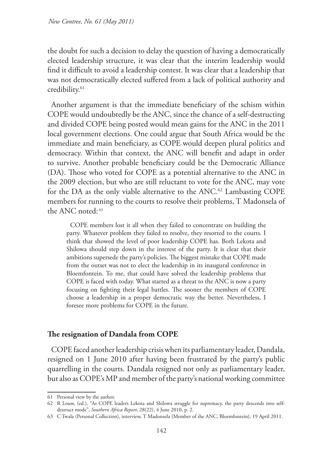the doubt for such a decision to delay the question of having a democratically elected leadership structure, it was clear that the interim leadership would find it difficult to avoid a leadership contest. It was clear that a leadership that was not democratically elected suffered from a lack of political authority and credibility.<sup>61</sup>

Another argument is that the immediate beneficiary of the schism within COPE would undoubtedly be the ANC, since the chance of a self-destructing and divided COPE being posted would mean gains for the ANC in the 2011 local government elections. One could argue that South Africa would be the immediate and main beneficiary, as COPE would deepen plural politics and democracy. Within that context, the ANC will benefit and adapt in order to survive. Another probable beneficiary could be the Democratic Alliance (DA). Those who voted for COPE as a potential alternative to the ANC in the 2009 election, but who are still reluctant to vote for the ANC, may vote for the DA as the only viable alternative to the ANC.<sup>62</sup> Lambasting COPE members for running to the courts to resolve their problems, T Madonsela of the ANC noted: 63

COPE members lost it all when they failed to concentrate on building the party. Whatever problem they failed to resolve, they resorted to the courts. I think that showed the level of poor leadership COPE has. Both Lekota and Shilowa should step down in the interest of the party. It is clear that their ambitions supersede the party's policies. The biggest mistake that COPE made from the outset was not to elect the leadership in its inaugural conference in Bloemfontein. To me, that could have solved the leadership problems that COPE is faced with today. What started as a threat to the ANC is now a party focusing on fighting their legal battles. The sooner the members of COPE choose a leadership in a proper democratic way the better. Nevertheless, I foresee more problems for COPE in the future.

### **The resignation of Dandala from COPE**

COPE faced another leadership crisis when its parliamentary leader, Dandala, resigned on 1 June 2010 after having been frustrated by the party's public quarrelling in the courts. Dandala resigned not only as parliamentary leader, but also as COPE's MP and member of the party's national working committee

<sup>61</sup> Personal view by the author.

<sup>62</sup> R Louw, (ed.), "As COPE leaders Lekota and Shilowa struggle for supremacy, the party descends into selfdestruct mode", *Southern Africa Report*, 28(22), 4 June 2010, p. 2.

<sup>63</sup> C Twala (Personal Collection), interview, T Madonsela (Member of the ANC, Bloemfontein), 19 April 2011.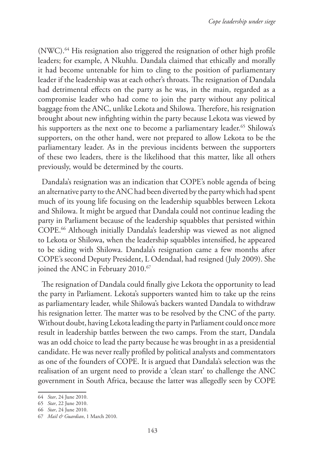(NWC).64 His resignation also triggered the resignation of other high profile leaders; for example, A Nkuhlu. Dandala claimed that ethically and morally it had become untenable for him to cling to the position of parliamentary leader if the leadership was at each other's throats. The resignation of Dandala had detrimental effects on the party as he was, in the main, regarded as a compromise leader who had come to join the party without any political baggage from the ANC, unlike Lekota and Shilowa. Therefore, his resignation brought about new infighting within the party because Lekota was viewed by his supporters as the next one to become a parliamentary leader.<sup>65</sup> Shilowa's supporters, on the other hand, were not prepared to allow Lekota to be the parliamentary leader. As in the previous incidents between the supporters of these two leaders, there is the likelihood that this matter, like all others previously, would be determined by the courts.

Dandala's resignation was an indication that COPE's noble agenda of being an alternative party to the ANC had been diverted by the party which had spent much of its young life focusing on the leadership squabbles between Lekota and Shilowa. It might be argued that Dandala could not continue leading the party in Parliament because of the leadership squabbles that persisted within COPE.66 Although initially Dandala's leadership was viewed as not aligned to Lekota or Shilowa, when the leadership squabbles intensified, he appeared to be siding with Shilowa. Dandala's resignation came a few months after COPE's second Deputy President, L Odendaal, had resigned (July 2009). She joined the ANC in February 2010.<sup>67</sup>

The resignation of Dandala could finally give Lekota the opportunity to lead the party in Parliament. Lekota's supporters wanted him to take up the reins as parliamentary leader, while Shilowa's backers wanted Dandala to withdraw his resignation letter. The matter was to be resolved by the CNC of the party. Without doubt, having Lekota leading the party in Parliament could once more result in leadership battles between the two camps. From the start, Dandala was an odd choice to lead the party because he was brought in as a presidential candidate. He was never really profiled by political analysts and commentators as one of the founders of COPE. It is argued that Dandala's selection was the realisation of an urgent need to provide a 'clean start' to challenge the ANC government in South Africa, because the latter was allegedly seen by COPE

<sup>64</sup> *Star*, 24 June 2010.

<sup>65</sup> *Star*, 22 June 2010.

<sup>66</sup> *Star*, 24 June 2010.

<sup>67</sup> *Mail & Guardian*, 1 March 2010.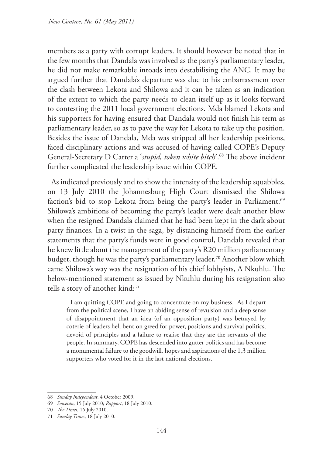members as a party with corrupt leaders. It should however be noted that in the few months that Dandala was involved as the party's parliamentary leader, he did not make remarkable inroads into destabilising the ANC. It may be argued further that Dandala's departure was due to his embarrassment over the clash between Lekota and Shilowa and it can be taken as an indication of the extent to which the party needs to clean itself up as it looks forward to contesting the 2011 local government elections. Mda blamed Lekota and his supporters for having ensured that Dandala would not finish his term as parliamentary leader, so as to pave the way for Lekota to take up the position. Besides the issue of Dandala, Mda was stripped all her leadership positions, faced disciplinary actions and was accused of having called COPE's Deputy General-Secretary D Carter a '*stupid, token white bitch*'.68 The above incident further complicated the leadership issue within COPE.

As indicated previously and to show the intensity of the leadership squabbles, on 13 July 2010 the Johannesburg High Court dismissed the Shilowa faction's bid to stop Lekota from being the party's leader in Parliament.<sup>69</sup> Shilowa's ambitions of becoming the party's leader were dealt another blow when the resigned Dandala claimed that he had been kept in the dark about party finances. In a twist in the saga, by distancing himself from the earlier statements that the party's funds were in good control, Dandala revealed that he knew little about the management of the party's R20 million parliamentary budget, though he was the party's parliamentary leader.<sup>70</sup> Another blow which came Shilowa's way was the resignation of his chief lobbyists, A Nkuhlu. The below-mentioned statement as issued by Nkuhlu during his resignation also tells a story of another kind: 71

I am quitting COPE and going to concentrate on my business. As I depart from the political scene, I have an abiding sense of revulsion and a deep sense of disappointment that an idea (of an opposition party) was betrayed by coterie of leaders hell bent on greed for power, positions and survival politics, devoid of principles and a failure to realise that they are the servants of the people. In summary, COPE has descended into gutter politics and has become a monumental failure to the goodwill, hopes and aspirations of the 1,3 million supporters who voted for it in the last national elections.

<sup>68</sup> *Sunday Independent*, 4 October 2009.

<sup>69</sup> *Sowetan*, 15 July 2010; *Rapport*, 18 July 2010.

<sup>70</sup> *The Times*, 16 July 2010.

<sup>71</sup> *Sunday Times*, 18 July 2010.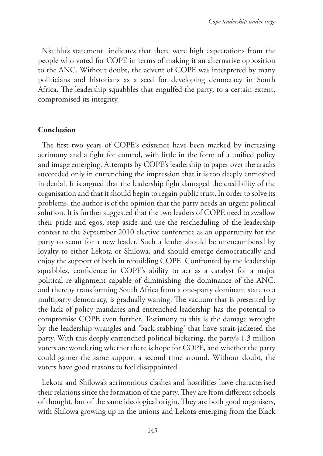Nkuhlu's statement indicates that there were high expectations from the people who voted for COPE in terms of making it an alternative opposition to the ANC. Without doubt, the advent of COPE was interpreted by many politicians and historians as a seed for developing democracy in South Africa. The leadership squabbles that engulfed the party, to a certain extent, compromised its integrity.

### **Conclusion**

The first two years of COPE's existence have been marked by increasing acrimony and a fight for control, with little in the form of a unified policy and image emerging. Attempts by COPE's leadership to paper over the cracks succeeded only in entrenching the impression that it is too deeply enmeshed in denial. It is argued that the leadership fight damaged the credibility of the organisation and that it should begin to regain public trust. In order to solve its problems, the author is of the opinion that the party needs an urgent political solution. It is further suggested that the two leaders of COPE need to swallow their pride and egos, step aside and use the rescheduling of the leadership contest to the September 2010 elective conference as an opportunity for the party to scout for a new leader. Such a leader should be unencumbered by loyalty to either Lekota or Shilowa, and should emerge democratically and enjoy the support of both in rebuilding COPE. Confronted by the leadership squabbles, confidence in COPE's ability to act as a catalyst for a major political re-alignment capable of diminishing the dominance of the ANC, and thereby transforming South Africa from a one-party dominant state to a multiparty democracy, is gradually waning. The vacuum that is presented by the lack of policy mandates and entrenched leadership has the potential to compromise COPE even further. Testimony to this is the damage wrought by the leadership wrangles and 'back-stabbing' that have strait-jacketed the party. With this deeply entrenched political bickering, the party's 1,3 million voters are wondering whether there is hope for COPE, and whether the party could garner the same support a second time around. Without doubt, the voters have good reasons to feel disappointed.

Lekota and Shilowa's acrimonious clashes and hostilities have characterised their relations since the formation of the party. They are from different schools of thought, but of the same ideological origin. They are both good organisers, with Shilowa growing up in the unions and Lekota emerging from the Black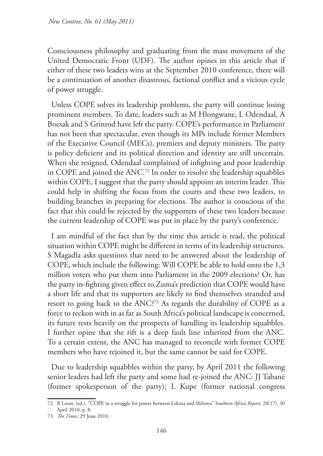Consciousness philosophy and graduating from the mass movement of the United Democratic Front (UDF). The author opines in this article that if either of these two leaders wins at the September 2010 conference, there will be a continuation of another disastrous, factional conflict and a vicious cycle of power struggle.

Unless COPE solves its leadership problems, the party will continue losing prominent members. To date, leaders such as M Hlongwane, L Odendaal, A Boesak and S Grinrod have left the party. COPE's performance in Parliament has not been that spectacular, even though its MPs include former Members of the Executive Council (MECs), premiers and deputy ministers. The party is policy deficient and its political direction and identity are still uncertain. When she resigned, Odendaal complained of infighting and poor leadership in COPE and joined the ANC.72 In order to resolve the leadership squabbles within COPE, I suggest that the party should appoint an interim leader. This could help in shifting the focus from the courts and these two leaders, to building branches in preparing for elections. The author is conscious of the fact that this could be rejected by the supporters of these two leaders because the current leadership of COPE was put in place by the party's conference.

I am mindful of the fact that by the time this article is read, the political situation within COPE might be different in terms of its leadership structures. S Magadla asks questions that need to be answered about the leadership of COPE, which include the following: Will COPE be able to hold onto the 1,3 million voters who put them into Parliament in the 2009 elections? Or, has the party in-fighting given effect to Zuma's prediction that COPE would have a short life and that its supporters are likely to find themselves stranded and resort to going back to the ANC?<sup>73</sup> As regards the durability of COPE as a force to reckon with in as far as South Africa's political landscape is concerned, its future rests heavily on the prospects of handling its leadership squabbles. I further opine that the rift is a deep fault line inherited from the ANC. To a certain extent, the ANC has managed to reconcile with former COPE members who have rejoined it, but the same cannot be said for COPE.

Due to leadership squabbles within the party, by April 2011 the following senior leaders had left the party and some had re-joined the ANC: JJ Tabane (former spokesperson of the party); L Kupe (former national congress

<sup>72</sup> R Louw, (ed.), "COPE in a struggle for power between Lekota and Shilowa" *Southern Africa Report*, 28(17), 30 April 2010, p. 8.

<sup>73</sup> *The Times*, 29 June 2010.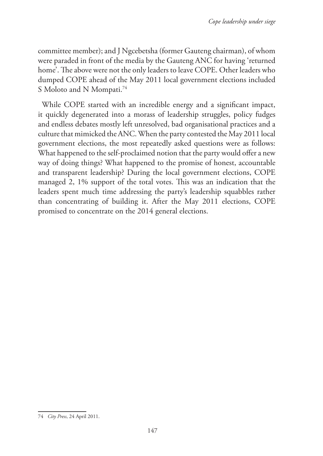committee member); and J Ngcebetsha (former Gauteng chairman), of whom were paraded in front of the media by the Gauteng ANC for having 'returned home'. The above were not the only leaders to leave COPE. Other leaders who dumped COPE ahead of the May 2011 local government elections included S Moloto and N Mompati.<sup>74</sup>

While COPE started with an incredible energy and a significant impact, it quickly degenerated into a morass of leadership struggles, policy fudges and endless debates mostly left unresolved, bad organisational practices and a culture that mimicked the ANC. When the party contested the May 2011 local government elections, the most repeatedly asked questions were as follows: What happened to the self-proclaimed notion that the party would offer a new way of doing things? What happened to the promise of honest, accountable and transparent leadership? During the local government elections, COPE managed 2, 1% support of the total votes. This was an indication that the leaders spent much time addressing the party's leadership squabbles rather than concentrating of building it. After the May 2011 elections, COPE promised to concentrate on the 2014 general elections.

<sup>74</sup> *City Press*, 24 April 2011.